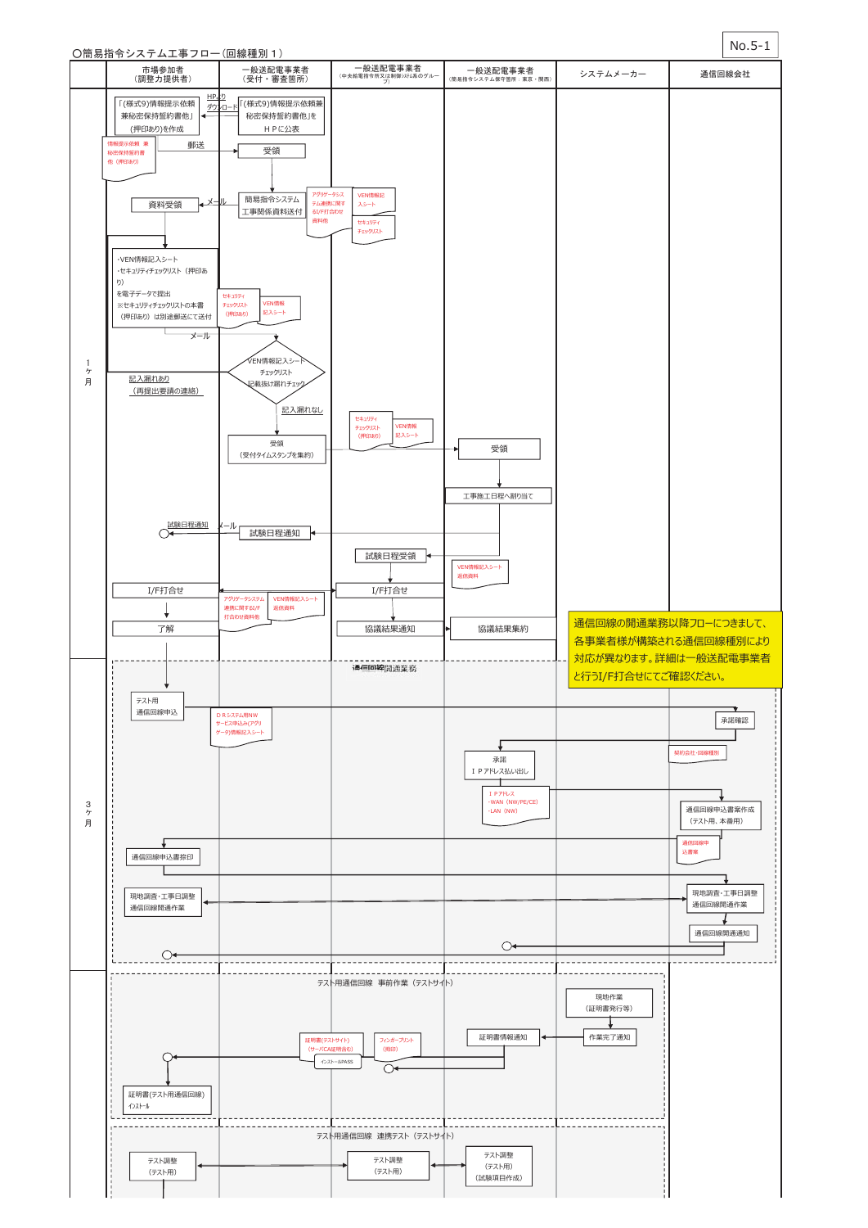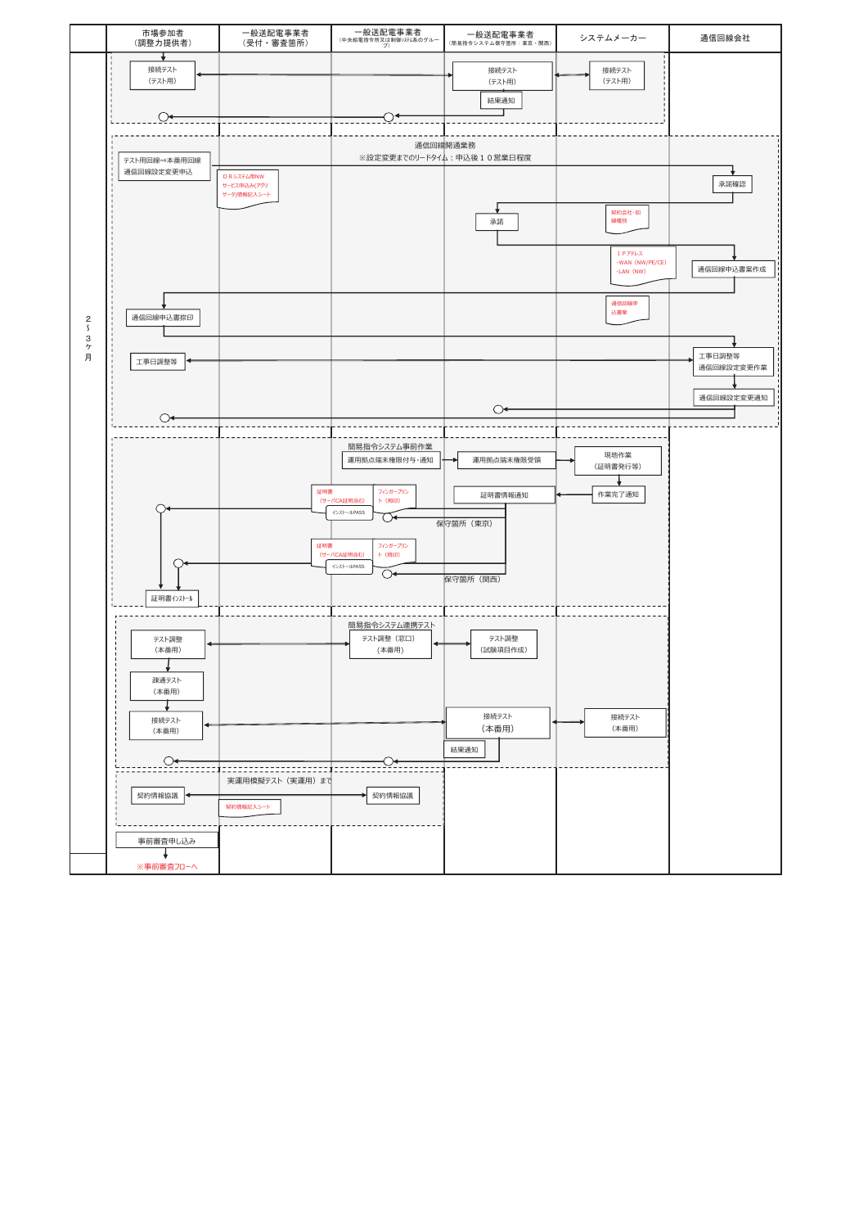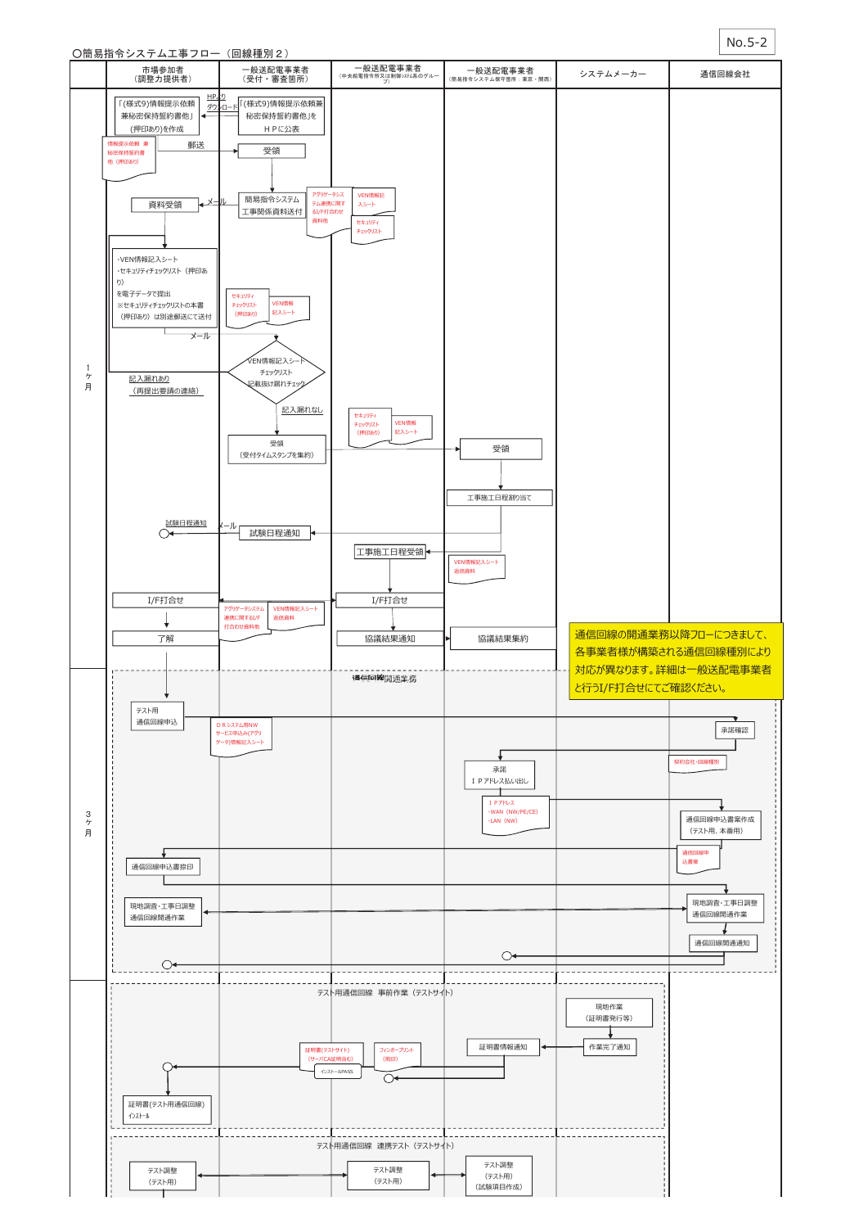